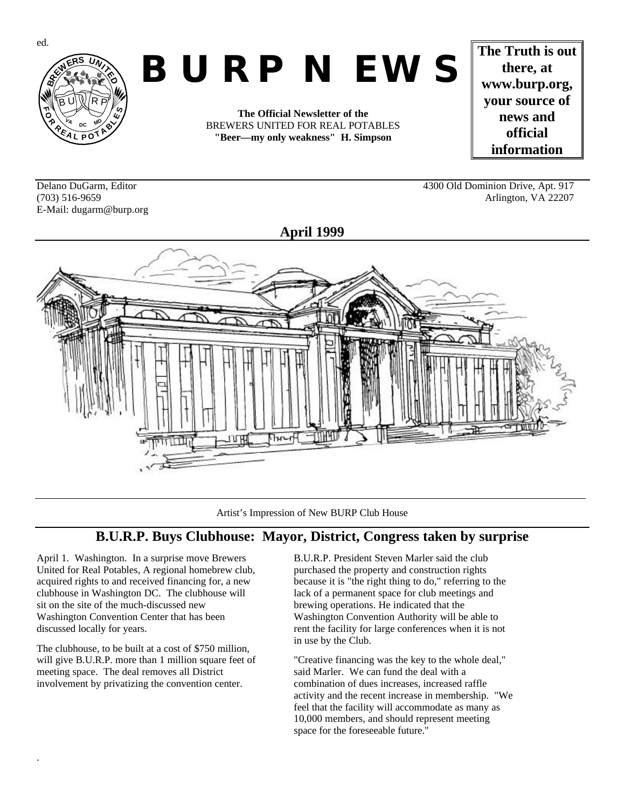

# *BURP NEWS*

**The Official Newsletter of the** BREWERS UNITED FOR REAL POTABLES **"Beer—my only weakness" H. Simpson**

**The Truth is out there, at www.burp.org, your source of news and official information**

E-Mail: dugarm@burp.org

Delano DuGarm, Editor 4300 Old Dominion Drive, Apt. 917 (703) 516-9659 Arlington, VA 22207



Artist's Impression of New BURP Club House

## **B.U.R.P. Buys Clubhouse: Mayor, District, Congress taken by surprise**

April 1. Washington. In a surprise move Brewers United for Real Potables, A regional homebrew club, acquired rights to and received financing for, a new clubhouse in Washington DC. The clubhouse will sit on the site of the much-discussed new Washington Convention Center that has been discussed locally for years.

The clubhouse, to be built at a cost of \$750 million, will give B.U.R.P. more than 1 million square feet of meeting space. The deal removes all District involvement by privatizing the convention center.

.

B.U.R.P. President Steven Marler said the club purchased the property and construction rights because it is "the right thing to do," referring to the lack of a permanent space for club meetings and brewing operations. He indicated that the Washington Convention Authority will be able to rent the facility for large conferences when it is not in use by the Club.

"Creative financing was the key to the whole deal," said Marler. We can fund the deal with a combination of dues increases, increased raffle activity and the recent increase in membership. "We feel that the facility will accommodate as many as 10,000 members, and should represent meeting space for the foreseeable future."

ed.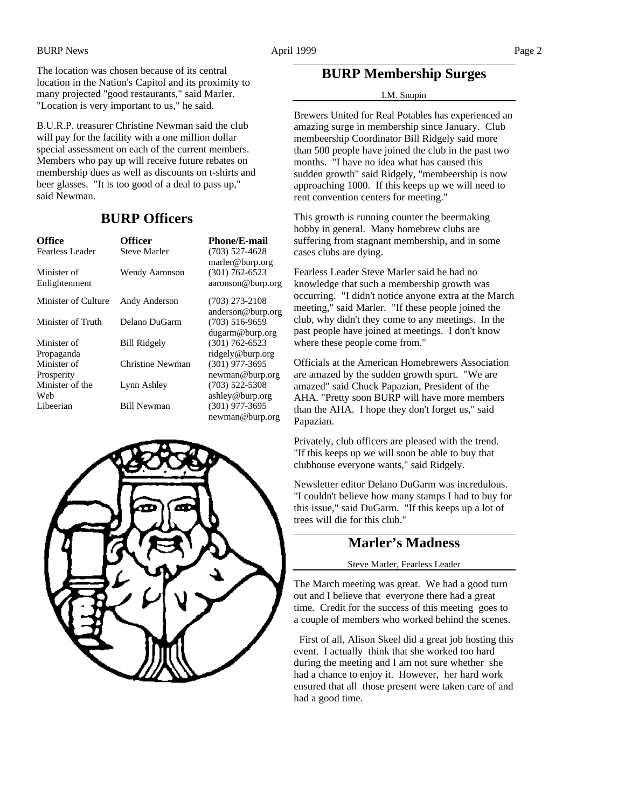The location was chosen because of its central location in the Nation's Capitol and its proximity to many projected "good restaurants," said Marler. "Location is very important to us," he said.

B.U.R.P. treasurer Christine Newman said the club will pay for the facility with a one million dollar special assessment on each of the current members. Members who pay up will receive future rebates on membership dues as well as discounts on t-shirts and beer glasses. "It is too good of a deal to pass up," said Newman.

## **BURP Officers**

| <b>Office</b><br>Fearless Leader | <b>Officer</b><br>Steve Marler | <b>Phone/E-mail</b><br>$(703)$ 527-4628 |
|----------------------------------|--------------------------------|-----------------------------------------|
|                                  |                                | marler@burp.org                         |
| Minister of<br>Enlightenment     | <b>Wendy Aaronson</b>          | $(301) 762 - 6523$<br>aaronson@burp.org |
| Minister of Culture              | Andy Anderson                  | $(703)$ 273-2108<br>anderson@burp.org   |
| Minister of Truth                | Delano DuGarm                  | $(703)$ 516-9659<br>dugarm@burp.org     |
| Minister of                      | <b>Bill Ridgely</b>            | $(301) 762 - 6523$                      |
| Propaganda                       |                                | ridgely@burp.org                        |
| Minister of                      | Christine Newman               | $(301)$ 977-3695                        |
| Prosperity                       |                                | newman@burp.org                         |
| Minister of the                  | Lynn Ashley                    | $(703)$ 522-5308                        |
| Web                              |                                | ashley@burp.org                         |
| Libeerian                        | Bill Newman                    | $(301)$ 977-3695                        |
|                                  |                                | newman@burp.org                         |





## **BURP Membership Surges**

#### I.M. Snupin

Brewers United for Real Potables has experienced an amazing surge in membership since January. Club membeership Coordinator Bill Ridgely said more than 500 people have joined the club in the past two months. "I have no idea what has caused this sudden growth" said Ridgely, "membeership is now approaching 1000. If this keeps up we will need to rent convention centers for meeting."

This growth is running counter the beermaking hobby in general. Many homebrew clubs are suffering from stagnant membership, and in some cases clubs are dying.

Fearless Leader Steve Marler said he had no knowledge that such a membership growth was occurring. "I didn't notice anyone extra at the March meeting," said Marler. "If these people joined the club, why didn't they come to any meetings. In the past people have joined at meetings. I don't know where these people come from."

Officials at the American Homebrewers Association are amazed by the sudden growth spurt. "We are amazed" said Chuck Papazian, President of the AHA. "Pretty soon BURP will have more members than the AHA. I hope they don't forget us," said Papazian.

Privately, club officers are pleased with the trend. "If this keeps up we will soon be able to buy that clubhouse everyone wants," said Ridgely.

Newsletter editor Delano DuGarm was incredulous. "I couldn't believe how many stamps I had to buy for this issue," said DuGarm. "If this keeps up a lot of trees will die for this club."

## **Marler's Madness**

#### Steve Marler, Fearless Leader

The March meeting was great. We had a good turn out and I believe that everyone there had a great time. Credit for the success of this meeting goes to a couple of members who worked behind the scenes.

 First of all, Alison Skeel did a great job hosting this event. I actually think that she worked too hard during the meeting and I am not sure whether she had a chance to enjoy it. However, her hard work ensured that all those present were taken care of and had a good time.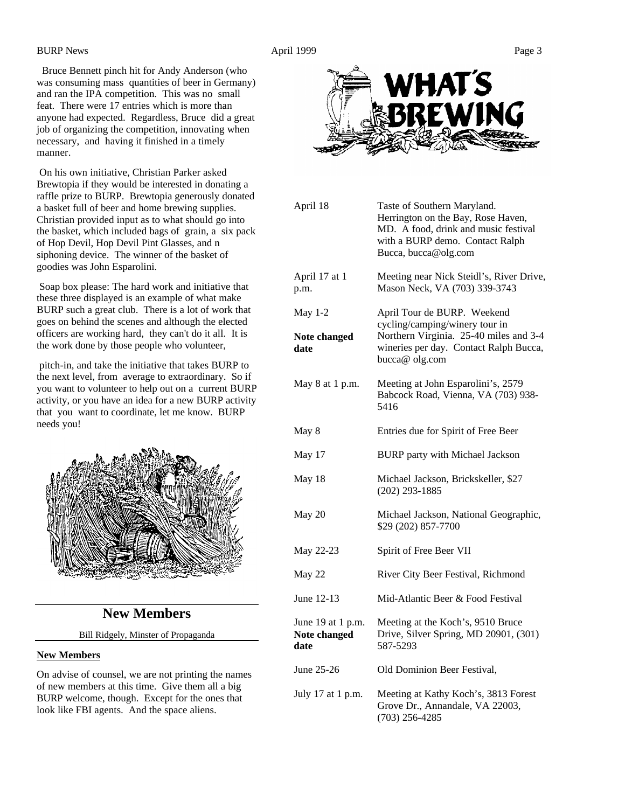Bruce Bennett pinch hit for Andy Anderson (who was consuming mass quantities of beer in Germany) and ran the IPA competition. This was no small feat. There were 17 entries which is more than anyone had expected. Regardless, Bruce did a great job of organizing the competition, innovating when necessary, and having it finished in a timely manner.

 On his own initiative, Christian Parker asked Brewtopia if they would be interested in donating a raffle prize to BURP. Brewtopia generously donated a basket full of beer and home brewing supplies. Christian provided input as to what should go into the basket, which included bags of grain, a six pack of Hop Devil, Hop Devil Pint Glasses, and n siphoning device. The winner of the basket of goodies was John Esparolini.

 Soap box please: The hard work and initiative that these three displayed is an example of what make BURP such a great club. There is a lot of work that goes on behind the scenes and although the elected officers are working hard, they can't do it all. It is the work done by those people who volunteer,

pitch-in, and take the initiative that takes BURP to the next level, from average to extraordinary. So if you want to volunteer to help out on a current BURP activity, or you have an idea for a new BURP activity that you want to coordinate, let me know. BURP needs you!



## **New Members**

#### Bill Ridgely, Minster of Propaganda

#### **New Members**

On advise of counsel, we are not printing the names of new members at this time. Give them all a big BURP welcome, though. Except for the ones that look like FBI agents. And the space aliens.



| April 18                                  | Taste of Southern Maryland.<br>Herrington on the Bay, Rose Haven,<br>MD. A food, drink and music festival<br>with a BURP demo. Contact Ralph<br>Bucca, bucca@olg.com |
|-------------------------------------------|----------------------------------------------------------------------------------------------------------------------------------------------------------------------|
| April 17 at 1<br>p.m.                     | Meeting near Nick Steidl's, River Drive,<br>Mason Neck, VA (703) 339-3743                                                                                            |
| <b>May 1-2</b><br>Note changed<br>date    | April Tour de BURP. Weekend<br>cycling/camping/winery tour in<br>Northern Virginia. 25-40 miles and 3-4<br>wineries per day. Contact Ralph Bucca,<br>bucca@ olg.com  |
| May 8 at 1 p.m.                           | Meeting at John Esparolini's, 2579<br>Babcock Road, Vienna, VA (703) 938-<br>5416                                                                                    |
| May 8                                     | Entries due for Spirit of Free Beer                                                                                                                                  |
| May 17                                    | <b>BURP</b> party with Michael Jackson                                                                                                                               |
| May 18                                    | Michael Jackson, Brickskeller, \$27<br>$(202)$ 293-1885                                                                                                              |
| May 20                                    | Michael Jackson, National Geographic,<br>\$29 (202) 857-7700                                                                                                         |
| May 22-23                                 | Spirit of Free Beer VII                                                                                                                                              |
| May 22                                    | River City Beer Festival, Richmond                                                                                                                                   |
| June 12-13                                | Mid-Atlantic Beer & Food Festival                                                                                                                                    |
| June 19 at 1 p.m.<br>Note changed<br>date | Meeting at the Koch's, 9510 Bruce<br>Drive, Silver Spring, MD 20901, (301)<br>587-5293                                                                               |
| June 25-26                                | Old Dominion Beer Festival,                                                                                                                                          |
| July 17 at 1 p.m.                         | Meeting at Kathy Koch's, 3813 Forest<br>Grove Dr., Annandale, VA 22003,<br>$(703)$ 256-4285                                                                          |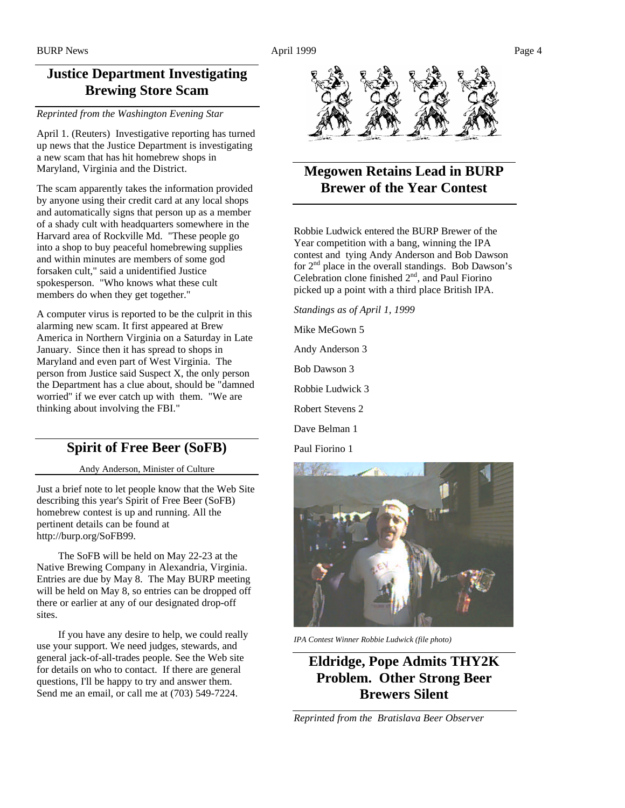## **Justice Department Investigating Brewing Store Scam**

*Reprinted from the Washington Evening Star*

April 1. (Reuters) Investigative reporting has turned up news that the Justice Department is investigating a new scam that has hit homebrew shops in Maryland, Virginia and the District.

The scam apparently takes the information provided by anyone using their credit card at any local shops and automatically signs that person up as a member of a shady cult with headquarters somewhere in the Harvard area of Rockville Md. "These people go into a shop to buy peaceful homebrewing supplies and within minutes are members of some god forsaken cult," said a unidentified Justice spokesperson. "Who knows what these cult members do when they get together."

A computer virus is reported to be the culprit in this alarming new scam. It first appeared at Brew America in Northern Virginia on a Saturday in Late January. Since then it has spread to shops in Maryland and even part of West Virginia. The person from Justice said Suspect X, the only person the Department has a clue about, should be "damned worried" if we ever catch up with them. "We are thinking about involving the FBI."

## **Spirit of Free Beer (SoFB)**

Andy Anderson, Minister of Culture

Just a brief note to let people know that the Web Site describing this year's Spirit of Free Beer (SoFB) homebrew contest is up and running. All the pertinent details can be found at http://burp.org/SoFB99.

 The SoFB will be held on May 22-23 at the Native Brewing Company in Alexandria, Virginia. Entries are due by May 8. The May BURP meeting will be held on May 8, so entries can be dropped off there or earlier at any of our designated drop-off sites.

 If you have any desire to help, we could really use your support. We need judges, stewards, and general jack-of-all-trades people. See the Web site for details on who to contact. If there are general questions, I'll be happy to try and answer them. Send me an email, or call me at (703) 549-7224.



# **Megowen Retains Lead in BURP Brewer of the Year Contest**

Robbie Ludwick entered the BURP Brewer of the Year competition with a bang, winning the IPA contest and tying Andy Anderson and Bob Dawson for  $2<sup>nd</sup>$  place in the overall standings. Bob Dawson's Celebration clone finished  $2<sup>nd</sup>$ , and Paul Fiorino picked up a point with a third place British IPA.

*Standings as of April 1, 1999*

Mike MeGown 5

Andy Anderson 3

Bob Dawson 3

Robbie Ludwick 3

Robert Stevens 2

Dave Belman 1

Paul Fiorino 1



*IPA Contest Winner Robbie Ludwick (file photo)*

**Eldridge, Pope Admits THY2K Problem. Other Strong Beer Brewers Silent**

*Reprinted from the Bratislava Beer Observer*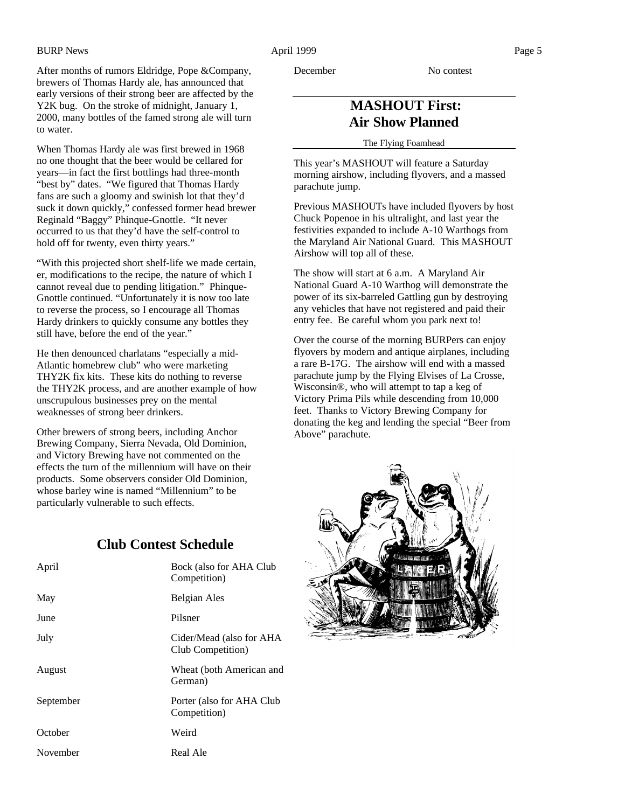After months of rumors Eldridge, Pope &Company, brewers of Thomas Hardy ale, has announced that early versions of their strong beer are affected by the Y2K bug. On the stroke of midnight, January 1, 2000, many bottles of the famed strong ale will turn to water.

When Thomas Hardy ale was first brewed in 1968 no one thought that the beer would be cellared for years—in fact the first bottlings had three-month "best by" dates. "We figured that Thomas Hardy fans are such a gloomy and swinish lot that they'd suck it down quickly," confessed former head brewer Reginald "Baggy" Phinque-Gnottle. "It never occurred to us that they'd have the self-control to hold off for twenty, even thirty years."

"With this projected short shelf-life we made certain, er, modifications to the recipe, the nature of which I cannot reveal due to pending litigation." Phinque-Gnottle continued. "Unfortunately it is now too late to reverse the process, so I encourage all Thomas Hardy drinkers to quickly consume any bottles they still have, before the end of the year."

He then denounced charlatans "especially a mid-Atlantic homebrew club" who were marketing THY2K fix kits. These kits do nothing to reverse the THY2K process, and are another example of how unscrupulous businesses prey on the mental weaknesses of strong beer drinkers.

Other brewers of strong beers, including Anchor Brewing Company, Sierra Nevada, Old Dominion, and Victory Brewing have not commented on the effects the turn of the millennium will have on their products. Some observers consider Old Dominion, whose barley wine is named "Millennium" to be particularly vulnerable to such effects.

## **Club Contest Schedule**

| April     | Bock (also for AHA Club<br>Competition)       |
|-----------|-----------------------------------------------|
| May       | Belgian Ales                                  |
| June      | Pilsner                                       |
| July      | Cider/Mead (also for AHA<br>Club Competition) |
| August    | Wheat (both American and<br>German)           |
| September | Porter (also for AHA Club<br>Competition)     |
| October   | Weird                                         |
| November  | Real Ale                                      |

December No contest

## **MASHOUT First: Air Show Planned**

The Flying Foamhead

This year's MASHOUT will feature a Saturday morning airshow, including flyovers, and a massed parachute jump.

Previous MASHOUTs have included flyovers by host Chuck Popenoe in his ultralight, and last year the festivities expanded to include A-10 Warthogs from the Maryland Air National Guard. This MASHOUT Airshow will top all of these.

The show will start at 6 a.m. A Maryland Air National Guard A-10 Warthog will demonstrate the power of its six-barreled Gattling gun by destroying any vehicles that have not registered and paid their entry fee. Be careful whom you park next to!

Over the course of the morning BURPers can enjoy flyovers by modern and antique airplanes, including a rare B-17G. The airshow will end with a massed parachute jump by the Flying Elvises of La Crosse, Wisconsin®, who will attempt to tap a keg of Victory Prima Pils while descending from 10,000 feet. Thanks to Victory Brewing Company for donating the keg and lending the special "Beer from Above" parachute.

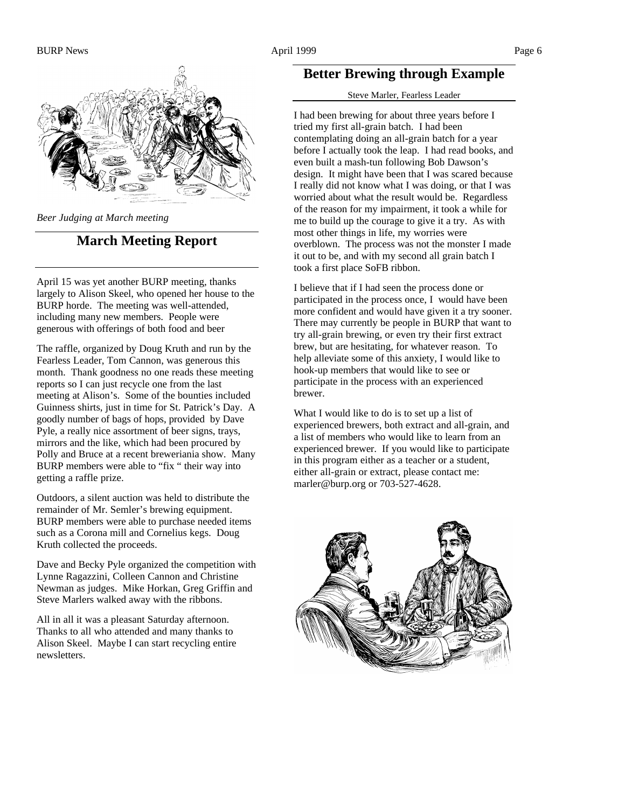

*Beer Judging at March meeting*

### **March Meeting Report**

April 15 was yet another BURP meeting, thanks largely to Alison Skeel, who opened her house to the BURP horde. The meeting was well-attended, including many new members. People were generous with offerings of both food and beer

The raffle, organized by Doug Kruth and run by the Fearless Leader, Tom Cannon, was generous this month. Thank goodness no one reads these meeting reports so I can just recycle one from the last meeting at Alison's. Some of the bounties included Guinness shirts, just in time for St. Patrick's Day. A goodly number of bags of hops, provided by Dave Pyle, a really nice assortment of beer signs, trays, mirrors and the like, which had been procured by Polly and Bruce at a recent breweriania show. Many BURP members were able to "fix " their way into getting a raffle prize.

Outdoors, a silent auction was held to distribute the remainder of Mr. Semler's brewing equipment. BURP members were able to purchase needed items such as a Corona mill and Cornelius kegs. Doug Kruth collected the proceeds.

Dave and Becky Pyle organized the competition with Lynne Ragazzini, Colleen Cannon and Christine Newman as judges. Mike Horkan, Greg Griffin and Steve Marlers walked away with the ribbons.

All in all it was a pleasant Saturday afternoon. Thanks to all who attended and many thanks to Alison Skeel. Maybe I can start recycling entire newsletters.

## **Better Brewing through Example**

#### Steve Marler, Fearless Leader

I had been brewing for about three years before I tried my first all-grain batch. I had been contemplating doing an all-grain batch for a year before I actually took the leap. I had read books, and even built a mash-tun following Bob Dawson's design. It might have been that I was scared because I really did not know what I was doing, or that I was worried about what the result would be. Regardless of the reason for my impairment, it took a while for me to build up the courage to give it a try. As with most other things in life, my worries were overblown. The process was not the monster I made it out to be, and with my second all grain batch I took a first place SoFB ribbon.

I believe that if I had seen the process done or participated in the process once, I would have been more confident and would have given it a try sooner. There may currently be people in BURP that want to try all-grain brewing, or even try their first extract brew, but are hesitating, for whatever reason. To help alleviate some of this anxiety, I would like to hook-up members that would like to see or participate in the process with an experienced brewer.

What I would like to do is to set up a list of experienced brewers, both extract and all-grain, and a list of members who would like to learn from an experienced brewer. If you would like to participate in this program either as a teacher or a student, either all-grain or extract, please contact me: marler@burp.org or 703-527-4628.

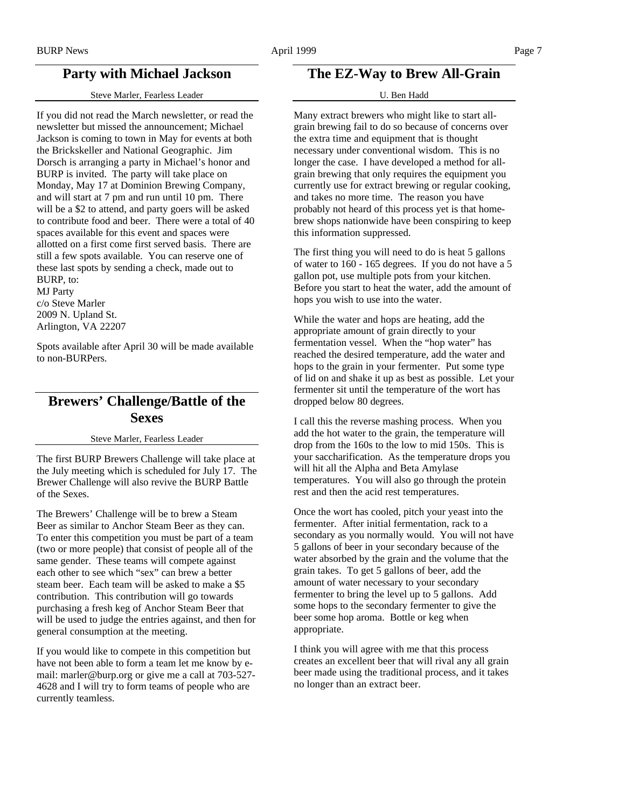## **Party with Michael Jackson**

Steve Marler, Fearless Leader

If you did not read the March newsletter, or read the newsletter but missed the announcement; Michael Jackson is coming to town in May for events at both the Brickskeller and National Geographic. Jim Dorsch is arranging a party in Michael's honor and BURP is invited. The party will take place on Monday, May 17 at Dominion Brewing Company, and will start at 7 pm and run until 10 pm. There will be a \$2 to attend, and party goers will be asked to contribute food and beer. There were a total of 40 spaces available for this event and spaces were allotted on a first come first served basis. There are still a few spots available. You can reserve one of these last spots by sending a check, made out to BURP, to:

MJ Party c/o Steve Marler 2009 N. Upland St. Arlington, VA 22207

Spots available after April 30 will be made available to non-BURPers.

## **Brewers' Challenge/Battle of the Sexes**

#### Steve Marler, Fearless Leader

The first BURP Brewers Challenge will take place at the July meeting which is scheduled for July 17. The Brewer Challenge will also revive the BURP Battle of the Sexes.

The Brewers' Challenge will be to brew a Steam Beer as similar to Anchor Steam Beer as they can. To enter this competition you must be part of a team (two or more people) that consist of people all of the same gender. These teams will compete against each other to see which "sex" can brew a better steam beer. Each team will be asked to make a \$5 contribution. This contribution will go towards purchasing a fresh keg of Anchor Steam Beer that will be used to judge the entries against, and then for general consumption at the meeting.

If you would like to compete in this competition but have not been able to form a team let me know by email: marler@burp.org or give me a call at 703-527- 4628 and I will try to form teams of people who are currently teamless.

## **The EZ-Way to Brew All-Grain**

#### U. Ben Hadd

Many extract brewers who might like to start allgrain brewing fail to do so because of concerns over the extra time and equipment that is thought necessary under conventional wisdom. This is no longer the case. I have developed a method for allgrain brewing that only requires the equipment you currently use for extract brewing or regular cooking, and takes no more time. The reason you have probably not heard of this process yet is that homebrew shops nationwide have been conspiring to keep this information suppressed.

The first thing you will need to do is heat 5 gallons of water to 160 - 165 degrees. If you do not have a 5 gallon pot, use multiple pots from your kitchen. Before you start to heat the water, add the amount of hops you wish to use into the water.

While the water and hops are heating, add the appropriate amount of grain directly to your fermentation vessel. When the "hop water" has reached the desired temperature, add the water and hops to the grain in your fermenter. Put some type of lid on and shake it up as best as possible. Let your fermenter sit until the temperature of the wort has dropped below 80 degrees.

I call this the reverse mashing process. When you add the hot water to the grain, the temperature will drop from the 160s to the low to mid 150s. This is your saccharification. As the temperature drops you will hit all the Alpha and Beta Amylase temperatures. You will also go through the protein rest and then the acid rest temperatures.

Once the wort has cooled, pitch your yeast into the fermenter. After initial fermentation, rack to a secondary as you normally would. You will not have 5 gallons of beer in your secondary because of the water absorbed by the grain and the volume that the grain takes. To get 5 gallons of beer, add the amount of water necessary to your secondary fermenter to bring the level up to 5 gallons. Add some hops to the secondary fermenter to give the beer some hop aroma. Bottle or keg when appropriate.

I think you will agree with me that this process creates an excellent beer that will rival any all grain beer made using the traditional process, and it takes no longer than an extract beer.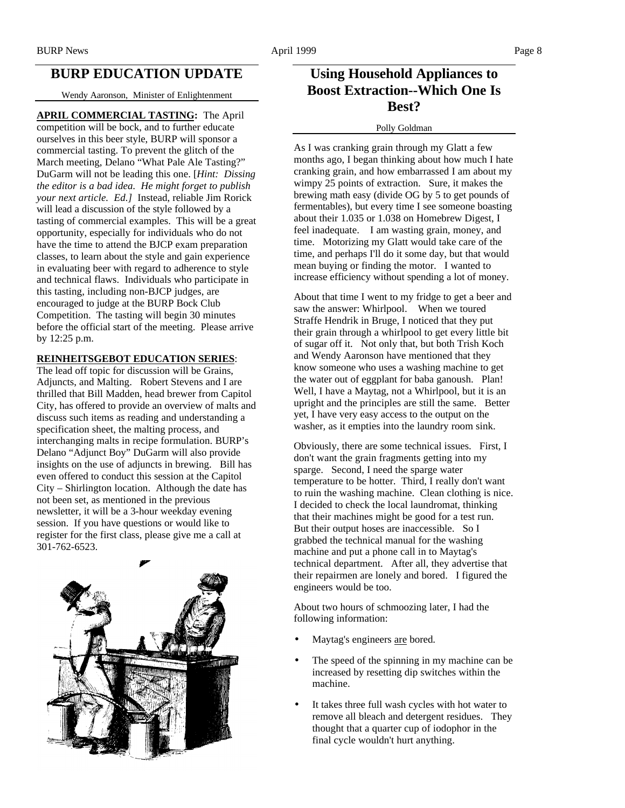## **BURP EDUCATION UPDATE**

Wendy Aaronson, Minister of Enlightenment

#### **APRIL COMMERCIAL TASTING:** The April

competition will be bock, and to further educate ourselves in this beer style, BURP will sponsor a commercial tasting. To prevent the glitch of the March meeting, Delano "What Pale Ale Tasting?" DuGarm will not be leading this one. [*Hint: Dissing the editor is a bad idea. He might forget to publish your next article. Ed.]* Instead, reliable Jim Rorick will lead a discussion of the style followed by a tasting of commercial examples. This will be a great opportunity, especially for individuals who do not have the time to attend the BJCP exam preparation classes, to learn about the style and gain experience in evaluating beer with regard to adherence to style and technical flaws. Individuals who participate in this tasting, including non-BJCP judges, are encouraged to judge at the BURP Bock Club Competition. The tasting will begin 30 minutes before the official start of the meeting. Please arrive by 12:25 p.m.

#### **REINHEITSGEBOT EDUCATION SERIES**:

The lead off topic for discussion will be Grains, Adjuncts, and Malting. Robert Stevens and I are thrilled that Bill Madden, head brewer from Capitol City, has offered to provide an overview of malts and discuss such items as reading and understanding a specification sheet, the malting process, and interchanging malts in recipe formulation. BURP's Delano "Adjunct Boy" DuGarm will also provide insights on the use of adjuncts in brewing. Bill has even offered to conduct this session at the Capitol City – Shirlington location. Although the date has not been set, as mentioned in the previous newsletter, it will be a 3-hour weekday evening session. If you have questions or would like to register for the first class, please give me a call at 301-762-6523.



## **Using Household Appliances to Boost Extraction--Which One Is Best?**

#### Polly Goldman

As I was cranking grain through my Glatt a few months ago, I began thinking about how much I hate cranking grain, and how embarrassed I am about my wimpy 25 points of extraction. Sure, it makes the brewing math easy (divide OG by 5 to get pounds of fermentables), but every time I see someone boasting about their 1.035 or 1.038 on Homebrew Digest, I feel inadequate. I am wasting grain, money, and time. Motorizing my Glatt would take care of the time, and perhaps I'll do it some day, but that would mean buying or finding the motor. I wanted to increase efficiency without spending a lot of money.

About that time I went to my fridge to get a beer and saw the answer: Whirlpool. When we toured Straffe Hendrik in Bruge, I noticed that they put their grain through a whirlpool to get every little bit of sugar off it. Not only that, but both Trish Koch and Wendy Aaronson have mentioned that they know someone who uses a washing machine to get the water out of eggplant for baba ganoush. Plan! Well, I have a Maytag, not a Whirlpool, but it is an upright and the principles are still the same. Better yet, I have very easy access to the output on the washer, as it empties into the laundry room sink.

Obviously, there are some technical issues. First, I don't want the grain fragments getting into my sparge. Second, I need the sparge water temperature to be hotter. Third, I really don't want to ruin the washing machine. Clean clothing is nice. I decided to check the local laundromat, thinking that their machines might be good for a test run. But their output hoses are inaccessible. So I grabbed the technical manual for the washing machine and put a phone call in to Maytag's technical department. After all, they advertise that their repairmen are lonely and bored. I figured the engineers would be too.

About two hours of schmoozing later, I had the following information:

- Maytag's engineers are bored.
- The speed of the spinning in my machine can be increased by resetting dip switches within the machine.
- It takes three full wash cycles with hot water to remove all bleach and detergent residues. They thought that a quarter cup of iodophor in the final cycle wouldn't hurt anything.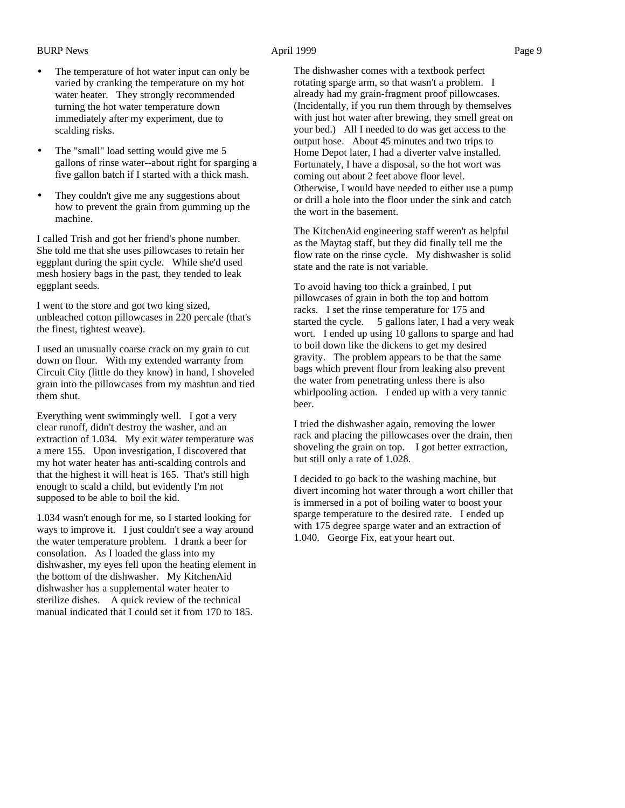- The temperature of hot water input can only be varied by cranking the temperature on my hot water heater. They strongly recommended turning the hot water temperature down immediately after my experiment, due to scalding risks.
- The "small" load setting would give me 5 gallons of rinse water--about right for sparging a five gallon batch if I started with a thick mash.
- They couldn't give me any suggestions about how to prevent the grain from gumming up the machine.

I called Trish and got her friend's phone number. She told me that she uses pillowcases to retain her eggplant during the spin cycle. While she'd used mesh hosiery bags in the past, they tended to leak eggplant seeds.

I went to the store and got two king sized, unbleached cotton pillowcases in 220 percale (that's the finest, tightest weave).

I used an unusually coarse crack on my grain to cut down on flour. With my extended warranty from Circuit City (little do they know) in hand, I shoveled grain into the pillowcases from my mashtun and tied them shut.

Everything went swimmingly well. I got a very clear runoff, didn't destroy the washer, and an extraction of 1.034. My exit water temperature was a mere 155. Upon investigation, I discovered that my hot water heater has anti-scalding controls and that the highest it will heat is 165. That's still high enough to scald a child, but evidently I'm not supposed to be able to boil the kid.

1.034 wasn't enough for me, so I started looking for ways to improve it. I just couldn't see a way around the water temperature problem. I drank a beer for consolation. As I loaded the glass into my dishwasher, my eyes fell upon the heating element in the bottom of the dishwasher. My KitchenAid dishwasher has a supplemental water heater to sterilize dishes. A quick review of the technical manual indicated that I could set it from 170 to 185.

The dishwasher comes with a textbook perfect rotating sparge arm, so that wasn't a problem. I already had my grain-fragment proof pillowcases. (Incidentally, if you run them through by themselves with just hot water after brewing, they smell great on your bed.) All I needed to do was get access to the output hose. About 45 minutes and two trips to Home Depot later, I had a diverter valve installed. Fortunately, I have a disposal, so the hot wort was coming out about 2 feet above floor level. Otherwise, I would have needed to either use a pump or drill a hole into the floor under the sink and catch the wort in the basement.

The KitchenAid engineering staff weren't as helpful as the Maytag staff, but they did finally tell me the flow rate on the rinse cycle. My dishwasher is solid state and the rate is not variable.

To avoid having too thick a grainbed, I put pillowcases of grain in both the top and bottom racks. I set the rinse temperature for 175 and started the cycle. 5 gallons later, I had a very weak wort. I ended up using 10 gallons to sparge and had to boil down like the dickens to get my desired gravity. The problem appears to be that the same bags which prevent flour from leaking also prevent the water from penetrating unless there is also whirlpooling action. I ended up with a very tannic beer.

I tried the dishwasher again, removing the lower rack and placing the pillowcases over the drain, then shoveling the grain on top. I got better extraction, but still only a rate of 1.028.

I decided to go back to the washing machine, but divert incoming hot water through a wort chiller that is immersed in a pot of boiling water to boost your sparge temperature to the desired rate. I ended up with 175 degree sparge water and an extraction of 1.040. George Fix, eat your heart out.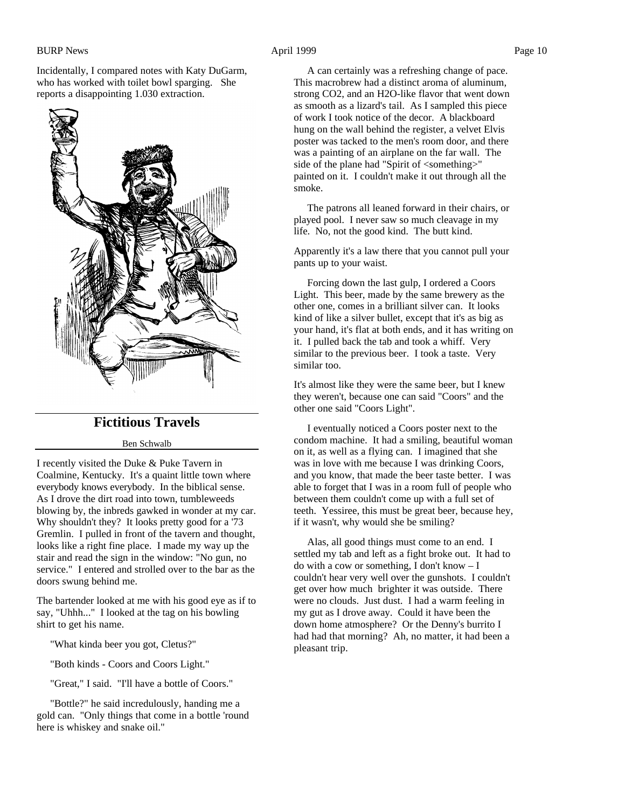Incidentally, I compared notes with Katy DuGarm, who has worked with toilet bowl sparging. She reports a disappointing 1.030 extraction.



## **Fictitious Travels**

#### Ben Schwalb

I recently visited the Duke & Puke Tavern in Coalmine, Kentucky. It's a quaint little town where everybody knows everybody. In the biblical sense. As I drove the dirt road into town, tumbleweeds blowing by, the inbreds gawked in wonder at my car. Why shouldn't they? It looks pretty good for a '73 Gremlin. I pulled in front of the tavern and thought, looks like a right fine place. I made my way up the stair and read the sign in the window: "No gun, no service." I entered and strolled over to the bar as the doors swung behind me.

The bartender looked at me with his good eye as if to say, "Uhhh..." I looked at the tag on his bowling shirt to get his name.

"What kinda beer you got, Cletus?"

"Both kinds - Coors and Coors Light."

"Great," I said. "I'll have a bottle of Coors."

 "Bottle?" he said incredulously, handing me a gold can. "Only things that come in a bottle 'round here is whiskey and snake oil."

 A can certainly was a refreshing change of pace. This macrobrew had a distinct aroma of aluminum, strong CO2, and an H2O-like flavor that went down as smooth as a lizard's tail. As I sampled this piece of work I took notice of the decor. A blackboard hung on the wall behind the register, a velvet Elvis poster was tacked to the men's room door, and there was a painting of an airplane on the far wall. The side of the plane had "Spirit of <something>" painted on it. I couldn't make it out through all the smoke.

 The patrons all leaned forward in their chairs, or played pool. I never saw so much cleavage in my life. No, not the good kind. The butt kind.

Apparently it's a law there that you cannot pull your pants up to your waist.

 Forcing down the last gulp, I ordered a Coors Light. This beer, made by the same brewery as the other one, comes in a brilliant silver can. It looks kind of like a silver bullet, except that it's as big as your hand, it's flat at both ends, and it has writing on it. I pulled back the tab and took a whiff. Very similar to the previous beer. I took a taste. Very similar too.

It's almost like they were the same beer, but I knew they weren't, because one can said "Coors" and the other one said "Coors Light".

 I eventually noticed a Coors poster next to the condom machine. It had a smiling, beautiful woman on it, as well as a flying can. I imagined that she was in love with me because I was drinking Coors, and you know, that made the beer taste better. I was able to forget that I was in a room full of people who between them couldn't come up with a full set of teeth. Yessiree, this must be great beer, because hey, if it wasn't, why would she be smiling?

 Alas, all good things must come to an end. I settled my tab and left as a fight broke out. It had to do with a cow or something, I don't know – I couldn't hear very well over the gunshots. I couldn't get over how much brighter it was outside. There were no clouds. Just dust. I had a warm feeling in my gut as I drove away. Could it have been the down home atmosphere? Or the Denny's burrito I had had that morning? Ah, no matter, it had been a pleasant trip.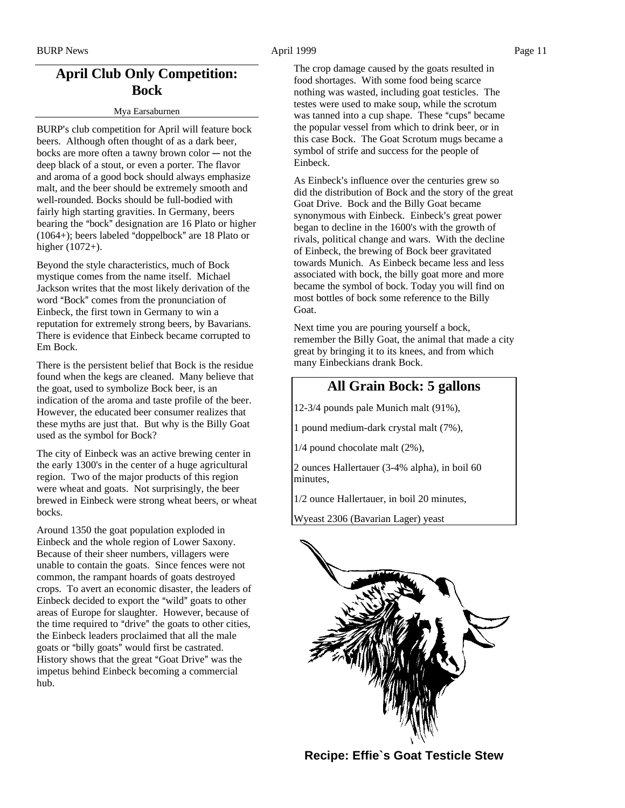## **April Club Only Competition: Bock**

#### Mya Earsaburnen

BURP's club competition for April will feature bock beers. Although often thought of as a dark beer, bocks are more often a tawny brown color  $-$  not the deep black of a stout, or even a porter. The flavor and aroma of a good bock should always emphasize malt, and the beer should be extremely smooth and well-rounded. Bocks should be full-bodied with fairly high starting gravities. In Germany, beers bearing the "bock" designation are 16 Plato or higher  $(1064+)$ ; beers labeled "doppelbock" are 18 Plato or higher (1072+).

Beyond the style characteristics, much of Bock mystique comes from the name itself. Michael Jackson writes that the most likely derivation of the word "Bock" comes from the pronunciation of Einbeck, the first town in Germany to win a reputation for extremely strong beers, by Bavarians. There is evidence that Einbeck became corrupted to Em Bock.

There is the persistent belief that Bock is the residue found when the kegs are cleaned. Many believe that the goat, used to symbolize Bock beer, is an indication of the aroma and taste profile of the beer. However, the educated beer consumer realizes that these myths are just that. But why is the Billy Goat used as the symbol for Bock?

The city of Einbeck was an active brewing center in the early 1300's in the center of a huge agricultural region. Two of the major products of this region were wheat and goats. Not surprisingly, the beer brewed in Einbeck were strong wheat beers, or wheat bocks.

Around 1350 the goat population exploded in Einbeck and the whole region of Lower Saxony. Because of their sheer numbers, villagers were unable to contain the goats. Since fences were not common, the rampant hoards of goats destroyed crops. To avert an economic disaster, the leaders of Einbeck decided to export the "wild" goats to other areas of Europe for slaughter. However, because of the time required to "drive" the goats to other cities, the Einbeck leaders proclaimed that all the male goats or "billy goats" would first be castrated. History shows that the great "Goat Drive" was the impetus behind Einbeck becoming a commercial hub.

The crop damage caused by the goats resulted in food shortages. With some food being scarce nothing was wasted, including goat testicles. The testes were used to make soup, while the scrotum was tanned into a cup shape. These "cups" became the popular vessel from which to drink beer, or in this case Bock. The Goat Scrotum mugs became a symbol of strife and success for the people of Einbeck.

As Einbeck's influence over the centuries grew so did the distribution of Bock and the story of the great Goat Drive. Bock and the Billy Goat became synonymous with Einbeck. Einbeck's great power began to decline in the 1600's with the growth of rivals, political change and wars. With the decline of Einbeck, the brewing of Bock beer gravitated towards Munich. As Einbeck became less and less associated with bock, the billy goat more and more became the symbol of bock. Today you will find on most bottles of bock some reference to the Billy Goat.

Next time you are pouring yourself a bock, remember the Billy Goat, the animal that made a city great by bringing it to its knees, and from which many Einbeckians drank Bock.

## **All Grain Bock: 5 gallons**

12-3/4 pounds pale Munich malt (91%),

1 pound medium-dark crystal malt (7%),

1/4 pound chocolate malt (2%),

2 ounces Hallertauer (3-4% alpha), in boil 60 minutes,

1/2 ounce Hallertauer, in boil 20 minutes,

Wyeast 2306 (Bavarian Lager) yeast



**Recipe: Effie`s Goat Testicle Stew**